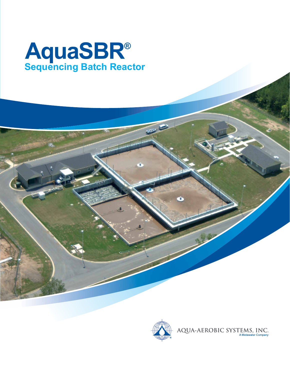

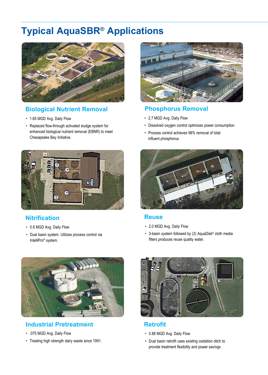## **Typical AquaSBR® Applications**



#### **Biological Nutrient Removal**

- 1.65 MGD Avg. Daily Flow
- Replaced flow-through activated sludge system for enhanced biological nutrient removal (EBNR) to meet Chesapeake Bay Initiative.



#### **Nitrification**

- 0.8 MGD Avg. Daily Flow
- Dual basin system. Utilizes process control via IntelliPro® system.



#### **Phosphorus Removal**

- 2.7 MGD Avg. Daily Flow
- Dissolved oxygen control optimizes power consumption
- Process control achieves 98% removal of total influent phosphorus



#### **Reuse**

- 2.0 MGD Avg. Daily Flow
- 3-basin system followed by (2) AquaDisk® cloth media filters produces reuse quality water.



#### **Industrial Pretreatment**

- .075 MGD Avg. Daily Flow
- Treating high strength dairy waste since 1991.



#### **Retrofit**

- 0.88 MGD Avg. Daily Flow
- Dual basin retrofit uses existing oxidation ditch to provide treatment flexibility and power savings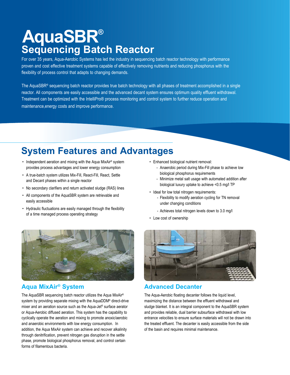# **AquaSBR® Sequencing Batch Reactor**

For over 35 years, Aqua-Aerobic Systems has led the industry in sequencing batch reactor technology with performance proven and cost effective treatment systems capable of effectively removing nutrients and reducing phosphorus with the flexibility of process control that adapts to changing demands.

The AquaSBR® sequencing batch reactor provides true batch technology with all phases of treatment accomplished in a single reactor. All components are easily accessible and the advanced decant system ensures optimum quality effluent withdrawal. Treatment can be optimized with the IntelliPro® process monitoring and control system to further reduce operation and maintenance,energy costs and improve performance.

## **System Features and Advantages**

- Independent aeration and mixing with the Aqua MixAir® system provides process advantages and lower energy consumption
- A true-batch system utilizes Mix-Fill, React-Fill, React, Settle and Decant phases within a single reactor
- No secondary clarifiers and return activated sludge (RAS) lines
- All components of the AquaSBR system are retrievable and easily accessible
- Hydraulic fluctuations are easily managed through the flexibility of a time managed process operating strategy
- Enhanced biological nutrient removal:
	- Anaerobic period during Mix-Fill phase to achieve low biological phosphorus requirements
	- Minimize metal salt usage with automated addition after biological luxury uptake to achieve <0.5 mg/l TP
- Ideal for low total nitrogen requirements:
	- Flexibility to modify aeration cycling for TN removal under changing conditions
	- Achieves total nitrogen levels down to 3.0 mg/l
- Low cost of ownership



#### **Aqua MixAir® System**

The AquaSBR sequencing batch reactor utilizes the Aqua MixAir® system by providing separate mixing with the AquaDDM® direct-drive mixer and an aeration source such as the Aqua-Jet® surface aerator or Aqua-Aerobic diffused aeration. This system has the capability to cyclically operate the aeration and mixing to promote anoxic/aerobic and anaerobic environments with low energy consumption. In addition, the Aqua MixAir system can achieve and recover alkalinity through denitrification, prevent nitrogen gas disruption in the settle phase, promote biological phosphorus removal, and control certain forms of filamentous bacteria.



#### **Advanced Decanter**

The Aqua-Aerobic floating decanter follows the liquid level, maximizing the distance between the effluent withdrawal and sludge blanket. It is an integral component to the AquaSBR system and provides reliable, dual barrier subsurface withdrawal with low entrance velocities to ensure surface materials will not be drawn into the treated effluent. The decanter is easily accessible from the side of the basin and requires minimal maintenance.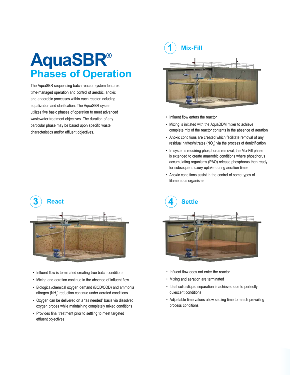### **1 Mix-Fill**

# **AquaSBR® Phases of Operation**

The AquaSBR sequencing batch reactor system features time-managed operation and control of aerobic, anoxic and anaerobic processes within each reactor including equalization and clarification. The AquaSBR system utilizes five basic phases of operation to meet advanced wastewater treatment objectives. The duration of any particular phase may be based upon specific waste characteristics and/or effluent objectives.



- Influent flow enters the reactor
- Mixing is initiated with the AquaDDM mixer to achieve complete mix of the reactor contents in the absence of aeration
- Anoxic conditions are created which facilitate removal of any residual nitrites/nitrates (NO<sub>x</sub>) via the process of denitrification
- In systems requiring phosphorus removal, the Mix-Fill phase is extended to create anaerobic conditions where phosphorus accumulating organisms (PAO) release phosphorus then ready for subsequent luxury uptake during aeration times
- Anoxic conditions assist in the control of some types of filamentous organisms



- Influent flow is terminated creating true batch conditions
- Mixing and aeration continue in the absence of influent flow
- Biological/chemical oxygen demand (BOD/COD) and ammonia nitrogen  $(NH_3)$  reduction continue under aerated conditions
- Oxygen can be delivered on a "as needed" basis via dissolved oxygen probes while maintaining completely mixed conditions
- Provides final treatment prior to settling to meet targeted effluent objectives



- Influent flow does not enter the reactor
- Mixing and aeration are terminated
- Ideal solids/liquid separation is achieved due to perfectly quiescent conditions
- Adjustable time values allow settling time to match prevailing process conditions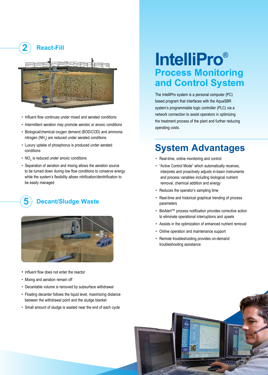

- Influent flow continues under mixed and aerated conditions
- Intermittent aeration may promote aerobic or anoxic conditions
- Biological/chemical oxygen demand (BOD/COD) and ammonia nitrogen (NH<sub>3</sub>) are reduced under aerated conditions
- Luxury uptake of phosphorus is produced under aerated conditions
- NO<sub>x</sub> is reduced under anoxic conditions
- Separation of aeration and mixing allows the aeration source to be turned down during low flow conditions to conserve energy while the system's flexibility allows nitrification/denitrification to be easily managed

### **5 Decant/Sludge Waste**



- Influent flow does not enter the reactor
- Mixing and aeration remain off
- Decantable volume is removed by subsurface withdrawal
- Floating decanter follows the liquid level, maximizing distance between the withdrawal point and the sludge blanket
- Small amount of sludge is wasted near the end of each cycle

# **IntelliPro® Process Monitoring and Control System**

The IntelliPro system is a personal computer (PC) based program that interfaces with the AquaSBR system's programmable logic controller (PLC) via a network connection to assist operators in optimizing the treatment process of the plant and further reducing operating costs.

### **System Advantages**

- Real-time, online monitoring and control
- "Active Control Mode" which automatically receives, interprets and proactively adjusts in-basin instruments and process variables including biological nutrient removal, chemical addition and energy
- Reduces the operator's sampling time
- Real-time and historical graphical trending of process parameters
- BioAlert™ process notification provides corrective action to eliminate operational interruptions and upsets
- Assists in the optimization of enhanced nutrient removal
- Online operation and maintenance support
- Remote troubleshooting provides on-demand troubleshooting assistance